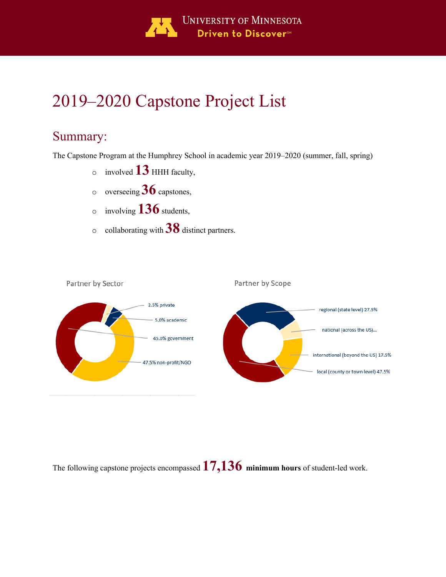

# 2019–2020 Capstone Project List

# Summary:

The Capstone Program at the Humphrey School in academic year 2019–2020 (summer, fall, spring)

- <sup>o</sup> involved **13** HHH faculty,
- <sup>o</sup> overseeing **36** capstones,
- <sup>o</sup> involving **136** students,
- <sup>o</sup> collaborating with **38** distinct partners.



The following capstone projects encompassed **17,136 minimum hours** of student-led work.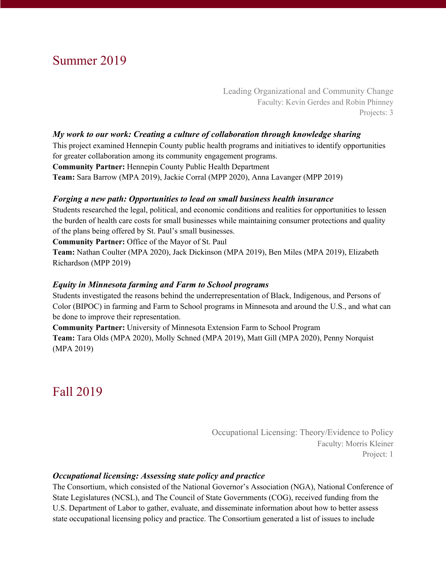# Summer 2019

Leading Organizational and Community Change Faculty: Kevin Gerdes and Robin Phinney Projects: 3

#### *My work to our work: Creating a culture of collaboration through knowledge sharing*

This project examined Hennepin County public health programs and initiatives to identify opportunities for greater collaboration among its community engagement programs. **Community Partner:** Hennepin County Public Health Department **Team:** Sara Barrow (MPA 2019), Jackie Corral (MPP 2020), Anna Lavanger (MPP 2019)

#### *Forging a new path: Opportunities to lead on small business health insurance*

Students researched the legal, political, and economic conditions and realities for opportunities to lessen the burden of health care costs for small businesses while maintaining consumer protections and quality of the plans being offered by St. Paul's small businesses.

**Community Partner:** Office of the Mayor of St. Paul

**Team:** Nathan Coulter (MPA 2020), Jack Dickinson (MPA 2019), Ben Miles (MPA 2019), Elizabeth Richardson (MPP 2019)

#### *Equity in Minnesota farming and Farm to School programs*

Students investigated the reasons behind the underrepresentation of Black, Indigenous, and Persons of Color (BIPOC) in farming and Farm to School programs in Minnesota and around the U.S., and what can be done to improve their representation.

**Community Partner:** University of Minnesota Extension Farm to School Program **Team:** Tara Olds (MPA 2020), Molly Schned (MPA 2019), Matt Gill (MPA 2020), Penny Norquist (MPA 2019)

# Fall 2019

Occupational Licensing: Theory/Evidence to Policy Faculty: Morris Kleiner Project: 1

#### *Occupational licensing: Assessing state policy and practice*

The Consortium, which consisted of the National Governor's Association (NGA), National Conference of State Legislatures (NCSL), and The Council of State Governments (COG), received funding from the U.S. Department of Labor to gather, evaluate, and disseminate information about how to better assess state occupational licensing policy and practice. The Consortium generated a list of issues to include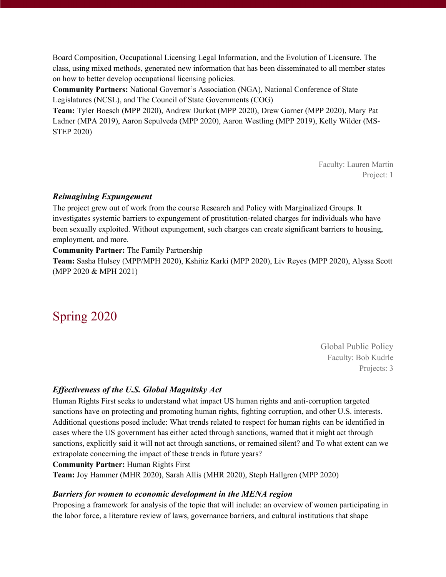Board Composition, Occupational Licensing Legal Information, and the Evolution of Licensure. The class, using mixed methods, generated new information that has been disseminated to all member states on how to better develop occupational licensing policies.

**Community Partners:** National Governor's Association (NGA), National Conference of State Legislatures (NCSL), and The Council of State Governments (COG)

**Team:** Tyler Boesch (MPP 2020), Andrew Durkot (MPP 2020), Drew Garner (MPP 2020), Mary Pat Ladner (MPA 2019), Aaron Sepulveda (MPP 2020), Aaron Westling (MPP 2019), Kelly Wilder (MS-STEP 2020)

> Faculty: Lauren Martin Project: 1

# *Reimagining Expungement*

The project grew out of work from the course Research and Policy with Marginalized Groups. It investigates systemic barriers to expungement of prostitution-related charges for individuals who have been sexually exploited. Without expungement, such charges can create significant barriers to housing, employment, and more.

#### **Community Partner:** The Family Partnership

**Team:** Sasha Hulsey (MPP/MPH 2020), Kshitiz Karki (MPP 2020), Liv Reyes (MPP 2020), Alyssa Scott (MPP 2020 & MPH 2021)

# Spring 2020

Global Public Policy Faculty: Bob Kudrle Projects: 3

# *Effectiveness of the U.S. Global Magnitsky Act*

Human Rights First seeks to understand what impact US human rights and anti-corruption targeted sanctions have on protecting and promoting human rights, fighting corruption, and other U.S. interests. Additional questions posed include: What trends related to respect for human rights can be identified in cases where the US government has either acted through sanctions, warned that it might act through sanctions, explicitly said it will not act through sanctions, or remained silent? and To what extent can we extrapolate concerning the impact of these trends in future years?

#### **Community Partner:** Human Rights First

**Team:** Joy Hammer (MHR 2020), Sarah Allis (MHR 2020), Steph Hallgren (MPP 2020)

# *Barriers for women to economic development in the MENA region*

Proposing a framework for analysis of the topic that will include: an overview of women participating in the labor force, a literature review of laws, governance barriers, and cultural institutions that shape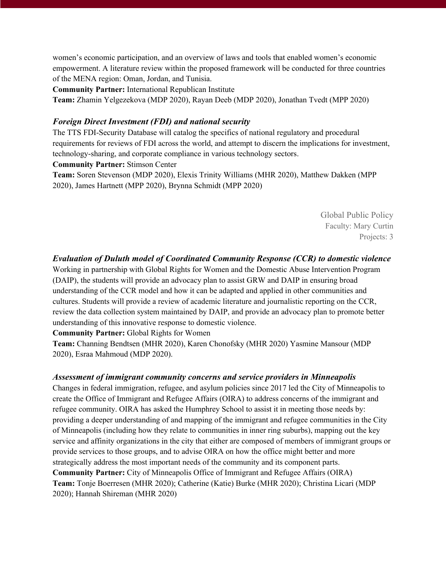women's economic participation, and an overview of laws and tools that enabled women's economic empowerment. A literature review within the proposed framework will be conducted for three countries of the MENA region: Oman, Jordan, and Tunisia.

**Community Partner:** International Republican Institute

**Team:** Zhamin Yelgezekova (MDP 2020), Rayan Deeb (MDP 2020), Jonathan Tvedt (MPP 2020)

#### *Foreign Direct Investment (FDI) and national security*

The TTS FDI-Security Database will catalog the specifics of national regulatory and procedural requirements for reviews of FDI across the world, and attempt to discern the implications for investment, technology-sharing, and corporate compliance in various technology sectors.

**Community Partner:** Stimson Center

**Team:** Soren Stevenson (MDP 2020), Elexis Trinity Williams (MHR 2020), Matthew Dakken (MPP 2020), James Hartnett (MPP 2020), Brynna Schmidt (MPP 2020)

> Global Public Policy Faculty: Mary Curtin Projects: 3

#### *Evaluation of Duluth model of Coordinated Community Response (CCR) to domestic violence*

Working in partnership with Global Rights for Women and the Domestic Abuse Intervention Program (DAIP), the students will provide an advocacy plan to assist GRW and DAIP in ensuring broad understanding of the CCR model and how it can be adapted and applied in other communities and cultures. Students will provide a review of academic literature and journalistic reporting on the CCR, review the data collection system maintained by DAIP, and provide an advocacy plan to promote better understanding of this innovative response to domestic violence.

**Community Partner:** Global Rights for Women

**Team:** Channing Bendtsen (MHR 2020), Karen Chonofsky (MHR 2020) Yasmine Mansour (MDP 2020), Esraa Mahmoud (MDP 2020).

#### *Assessment of immigrant community concerns and service providers in Minneapolis*

Changes in federal immigration, refugee, and asylum policies since 2017 led the City of Minneapolis to create the Office of Immigrant and Refugee Affairs (OIRA) to address concerns of the immigrant and refugee community. OIRA has asked the Humphrey School to assist it in meeting those needs by: providing a deeper understanding of and mapping of the immigrant and refugee communities in the City of Minneapolis (including how they relate to communities in inner ring suburbs), mapping out the key service and affinity organizations in the city that either are composed of members of immigrant groups or provide services to those groups, and to advise OIRA on how the office might better and more strategically address the most important needs of the community and its component parts. **Community Partner:** City of Minneapolis Office of Immigrant and Refugee Affairs (OIRA) **Team:** Tonje Boerresen (MHR 2020); Catherine (Katie) Burke (MHR 2020); Christina Licari (MDP 2020); Hannah Shireman (MHR 2020)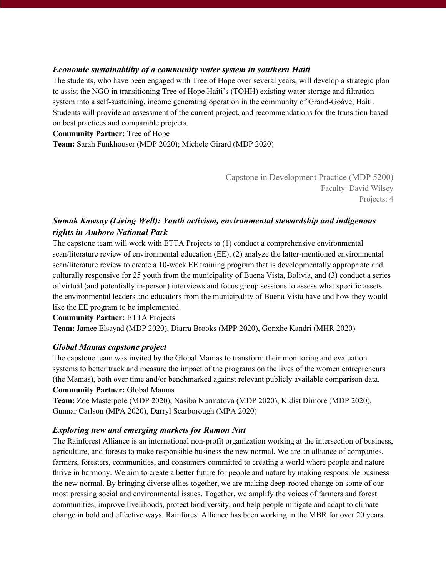#### *Economic sustainability of a community water system in southern Haiti*

The students, who have been engaged with Tree of Hope over several years, will develop a strategic plan to assist the NGO in transitioning Tree of Hope Haiti's (TOHH) existing water storage and filtration system into a self-sustaining, income generating operation in the community of Grand-Goâve, Haiti. Students will provide an assessment of the current project, and recommendations for the transition based on best practices and comparable projects.

#### **Community Partner:** Tree of Hope

**Team:** Sarah Funkhouser (MDP 2020); Michele Girard (MDP 2020)

Capstone in Development Practice (MDP 5200) Faculty: David Wilsey Projects: 4

# *Sumak Kawsay (Living Well): Youth activism, environmental stewardship and indigenous rights in Amboro National Park*

The capstone team will work with ETTA Projects to (1) conduct a comprehensive environmental scan/literature review of environmental education (EE), (2) analyze the latter-mentioned environmental scan/literature review to create a 10-week EE training program that is developmentally appropriate and culturally responsive for 25 youth from the municipality of Buena Vista, Bolivia, and (3) conduct a series of virtual (and potentially in-person) interviews and focus group sessions to assess what specific assets the environmental leaders and educators from the municipality of Buena Vista have and how they would like the EE program to be implemented.

**Community Partner:** ETTA Projects **Team:** Jamee Elsayad (MDP 2020), Diarra Brooks (MPP 2020), Gonxhe Kandri (MHR 2020)

#### *Global Mamas capstone project*

The capstone team was invited by the Global Mamas to transform their monitoring and evaluation systems to better track and measure the impact of the programs on the lives of the women entrepreneurs (the Mamas), both over time and/or benchmarked against relevant publicly available comparison data. **Community Partner:** Global Mamas

**Team:** Zoe Masterpole (MDP 2020), Nasiba Nurmatova (MDP 2020), Kidist Dimore (MDP 2020), Gunnar Carlson (MPA 2020), Darryl Scarborough (MPA 2020)

# *Exploring new and emerging markets for Ramon Nut*

The Rainforest Alliance is an international non-profit organization working at the intersection of business, agriculture, and forests to make responsible business the new normal. We are an alliance of companies, farmers, foresters, communities, and consumers committed to creating a world where people and nature thrive in harmony. We aim to create a better future for people and nature by making responsible business the new normal. By bringing diverse allies together, we are making deep-rooted change on some of our most pressing social and environmental issues. Together, we amplify the voices of farmers and forest communities, improve livelihoods, protect biodiversity, and help people mitigate and adapt to climate change in bold and effective ways. Rainforest Alliance has been working in the MBR for over 20 years.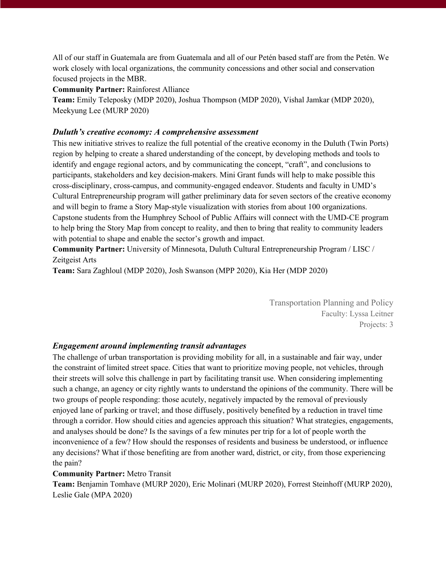All of our staff in Guatemala are from Guatemala and all of our Petén based staff are from the Petén. We work closely with local organizations, the community concessions and other social and conservation focused projects in the MBR.

**Community Partner:** Rainforest Alliance

**Team:** Emily Teleposky (MDP 2020), Joshua Thompson (MDP 2020), Vishal Jamkar (MDP 2020), Meekyung Lee (MURP 2020)

#### *Duluth's creative economy: A comprehensive assessment*

This new initiative strives to realize the full potential of the creative economy in the Duluth (Twin Ports) region by helping to create a shared understanding of the concept, by developing methods and tools to identify and engage regional actors, and by communicating the concept, "craft", and conclusions to participants, stakeholders and key decision-makers. Mini Grant funds will help to make possible this cross-disciplinary, cross-campus, and community-engaged endeavor. Students and faculty in UMD's Cultural Entrepreneurship program will gather preliminary data for seven sectors of the creative economy and will begin to frame a Story Map-style visualization with stories from about 100 organizations. Capstone students from the Humphrey School of Public Affairs will connect with the UMD-CE program to help bring the Story Map from concept to reality, and then to bring that reality to community leaders with potential to shape and enable the sector's growth and impact.

**Community Partner:** University of Minnesota, Duluth Cultural Entrepreneurship Program / LISC / Zeitgeist Arts

**Team:** Sara Zaghloul (MDP 2020), Josh Swanson (MPP 2020), Kia Her (MDP 2020)

Transportation Planning and Policy Faculty: Lyssa Leitner Projects: 3

# *Engagement around implementing transit advantages*

The challenge of urban transportation is providing mobility for all, in a sustainable and fair way, under the constraint of limited street space. Cities that want to prioritize moving people, not vehicles, through their streets will solve this challenge in part by facilitating transit use. When considering implementing such a change, an agency or city rightly wants to understand the opinions of the community. There will be two groups of people responding: those acutely, negatively impacted by the removal of previously enjoyed lane of parking or travel; and those diffusely, positively benefited by a reduction in travel time through a corridor. How should cities and agencies approach this situation? What strategies, engagements, and analyses should be done? Is the savings of a few minutes per trip for a lot of people worth the inconvenience of a few? How should the responses of residents and business be understood, or influence any decisions? What if those benefiting are from another ward, district, or city, from those experiencing the pain?

#### **Community Partner:** Metro Transit

**Team:** Benjamin Tomhave (MURP 2020), Eric Molinari (MURP 2020), Forrest Steinhoff (MURP 2020), Leslie Gale (MPA 2020)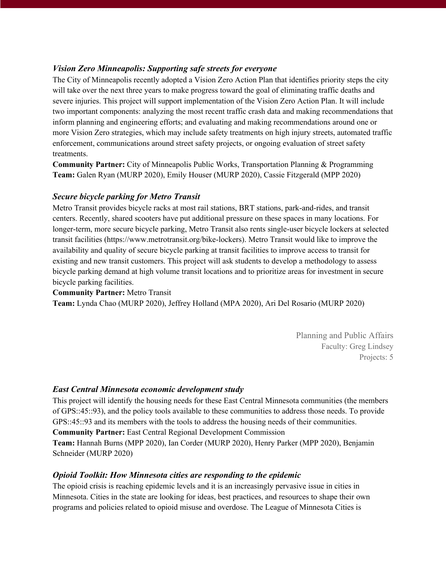# *Vision Zero Minneapolis: Supporting safe streets for everyone*

The City of Minneapolis recently adopted a Vision Zero Action Plan that identifies priority steps the city will take over the next three years to make progress toward the goal of eliminating traffic deaths and severe injuries. This project will support implementation of the Vision Zero Action Plan. It will include two important components: analyzing the most recent traffic crash data and making recommendations that inform planning and engineering efforts; and evaluating and making recommendations around one or more Vision Zero strategies, which may include safety treatments on high injury streets, automated traffic enforcement, communications around street safety projects, or ongoing evaluation of street safety treatments.

**Community Partner:** City of Minneapolis Public Works, Transportation Planning & Programming **Team:** Galen Ryan (MURP 2020), Emily Houser (MURP 2020), Cassie Fitzgerald (MPP 2020)

# *Secure bicycle parking for Metro Transit*

Metro Transit provides bicycle racks at most rail stations, BRT stations, park-and-rides, and transit centers. Recently, shared scooters have put additional pressure on these spaces in many locations. For longer-term, more secure bicycle parking, Metro Transit also rents single-user bicycle lockers at selected transit facilities (https://www.metrotransit.org/bike-lockers). Metro Transit would like to improve the availability and quality of secure bicycle parking at transit facilities to improve access to transit for existing and new transit customers. This project will ask students to develop a methodology to assess bicycle parking demand at high volume transit locations and to prioritize areas for investment in secure bicycle parking facilities.

#### **Community Partner:** Metro Transit

**Team:** Lynda Chao (MURP 2020), Jeffrey Holland (MPA 2020), Ari Del Rosario (MURP 2020)

Planning and Public Affairs Faculty: Greg Lindsey Projects: 5

# *East Central Minnesota economic development study*

This project will identify the housing needs for these East Central Minnesota communities (the members of GPS::45::93), and the policy tools available to these communities to address those needs. To provide GPS::45::93 and its members with the tools to address the housing needs of their communities.

**Community Partner:** East Central Regional Development Commission

**Team:** Hannah Burns (MPP 2020), Ian Corder (MURP 2020), Henry Parker (MPP 2020), Benjamin Schneider (MURP 2020)

# *Opioid Toolkit: How Minnesota cities are responding to the epidemic*

The opioid crisis is reaching epidemic levels and it is an increasingly pervasive issue in cities in Minnesota. Cities in the state are looking for ideas, best practices, and resources to shape their own programs and policies related to opioid misuse and overdose. The League of Minnesota Cities is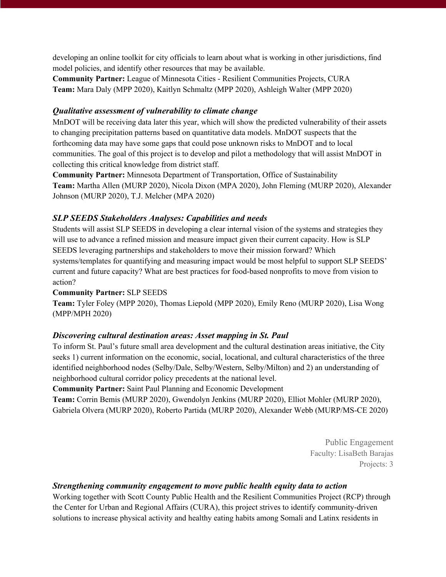developing an online toolkit for city officials to learn about what is working in other jurisdictions, find model policies, and identify other resources that may be available.

**Community Partner:** League of Minnesota Cities - Resilient Communities Projects, CURA **Team:** Mara Daly (MPP 2020), Kaitlyn Schmaltz (MPP 2020), Ashleigh Walter (MPP 2020)

# *Qualitative assessment of vulnerability to climate change*

MnDOT will be receiving data later this year, which will show the predicted vulnerability of their assets to changing precipitation patterns based on quantitative data models. MnDOT suspects that the forthcoming data may have some gaps that could pose unknown risks to MnDOT and to local communities. The goal of this project is to develop and pilot a methodology that will assist MnDOT in collecting this critical knowledge from district staff.

**Community Partner:** Minnesota Department of Transportation, Office of Sustainability **Team:** Martha Allen (MURP 2020), Nicola Dixon (MPA 2020), John Fleming (MURP 2020), Alexander Johnson (MURP 2020), T.J. Melcher (MPA 2020)

# *SLP SEEDS Stakeholders Analyses: Capabilities and needs*

Students will assist SLP SEEDS in developing a clear internal vision of the systems and strategies they will use to advance a refined mission and measure impact given their current capacity. How is SLP SEEDS leveraging partnerships and stakeholders to move their mission forward? Which systems/templates for quantifying and measuring impact would be most helpful to support SLP SEEDS' current and future capacity? What are best practices for food-based nonprofits to move from vision to action?

# **Community Partner:** SLP SEEDS

**Team:** Tyler Foley (MPP 2020), Thomas Liepold (MPP 2020), Emily Reno (MURP 2020), Lisa Wong (MPP/MPH 2020)

# *Discovering cultural destination areas: Asset mapping in St. Paul*

To inform St. Paul's future small area development and the cultural destination areas initiative, the City seeks 1) current information on the economic, social, locational, and cultural characteristics of the three identified neighborhood nodes (Selby/Dale, Selby/Western, Selby/Milton) and 2) an understanding of neighborhood cultural corridor policy precedents at the national level.

**Community Partner:** Saint Paul Planning and Economic Development

**Team:** Corrin Bemis (MURP 2020), Gwendolyn Jenkins (MURP 2020), Elliot Mohler (MURP 2020), Gabriela Olvera (MURP 2020), Roberto Partida (MURP 2020), Alexander Webb (MURP/MS-CE 2020)

> Public Engagement Faculty: LisaBeth Barajas Projects: 3

# *Strengthening community engagement to move public health equity data to action*

Working together with Scott County Public Health and the Resilient Communities Project (RCP) through the Center for Urban and Regional Affairs (CURA), this project strives to identify community-driven solutions to increase physical activity and healthy eating habits among Somali and Latinx residents in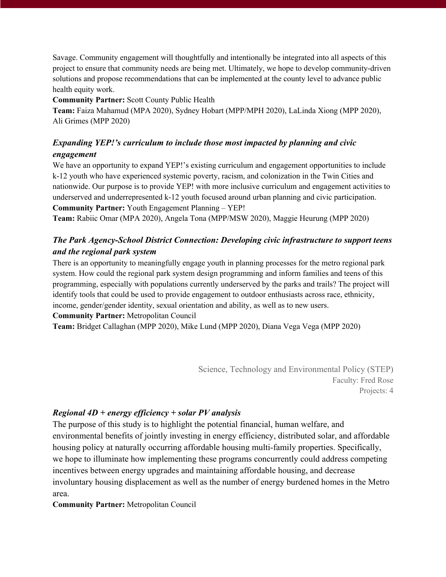Savage. Community engagement will thoughtfully and intentionally be integrated into all aspects of this project to ensure that community needs are being met. Ultimately, we hope to develop community-driven solutions and propose recommendations that can be implemented at the county level to advance public health equity work.

#### **Community Partner:** Scott County Public Health

**Team:** Faiza Mahamud (MPA 2020), Sydney Hobart (MPP/MPH 2020), LaLinda Xiong (MPP 2020), Ali Grimes (MPP 2020)

# *Expanding YEP!'s curriculum to include those most impacted by planning and civic engagement*

We have an opportunity to expand YEP!'s existing curriculum and engagement opportunities to include k-12 youth who have experienced systemic poverty, racism, and colonization in the Twin Cities and nationwide. Our purpose is to provide YEP! with more inclusive curriculum and engagement activities to underserved and underrepresented k-12 youth focused around urban planning and civic participation. **Community Partner:** Youth Engagement Planning – YEP!

**Team:** Rabiic Omar (MPA 2020), Angela Tona (MPP/MSW 2020), Maggie Heurung (MPP 2020)

# *The Park Agency-School District Connection: Developing civic infrastructure to support teens and the regional park system*

There is an opportunity to meaningfully engage youth in planning processes for the metro regional park system. How could the regional park system design programming and inform families and teens of this programming, especially with populations currently underserved by the parks and trails? The project will identify tools that could be used to provide engagement to outdoor enthusiasts across race, ethnicity, income, gender/gender identity, sexual orientation and ability, as well as to new users.

#### **Community Partner:** Metropolitan Council

**Team:** Bridget Callaghan (MPP 2020), Mike Lund (MPP 2020), Diana Vega Vega (MPP 2020)

Science, Technology and Environmental Policy (STEP) Faculty: Fred Rose Projects: 4

#### *Regional 4D + energy efficiency + solar PV analysis*

The purpose of this study is to highlight the potential financial, human welfare, and environmental benefits of jointly investing in energy efficiency, distributed solar, and affordable housing policy at naturally occurring affordable housing multi-family properties. Specifically, we hope to illuminate how implementing these programs concurrently could address competing incentives between energy upgrades and maintaining affordable housing, and decrease involuntary housing displacement as well as the number of energy burdened homes in the Metro area.

**Community Partner:** Metropolitan Council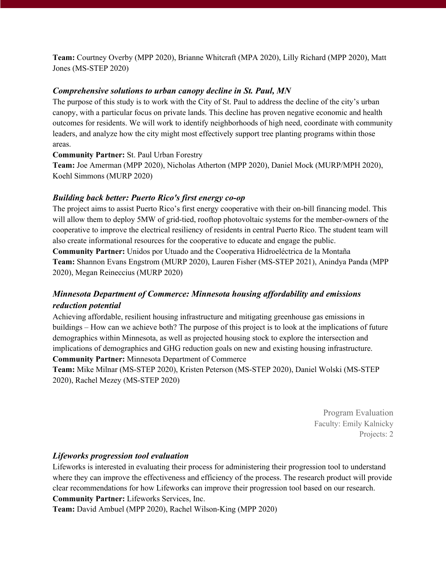**Team:** Courtney Overby (MPP 2020), Brianne Whitcraft (MPA 2020), Lilly Richard (MPP 2020), Matt Jones (MS-STEP 2020)

# *Comprehensive solutions to urban canopy decline in St. Paul, MN*

The purpose of this study is to work with the City of St. Paul to address the decline of the city's urban canopy, with a particular focus on private lands. This decline has proven negative economic and health outcomes for residents. We will work to identify neighborhoods of high need, coordinate with community leaders, and analyze how the city might most effectively support tree planting programs within those areas.

**Community Partner:** St. Paul Urban Forestry

**Team:** Joe Amerman (MPP 2020), Nicholas Atherton (MPP 2020), Daniel Mock (MURP/MPH 2020), Koehl Simmons (MURP 2020)

# *Building back better: Puerto Rico's first energy co-op*

The project aims to assist Puerto Rico's first energy cooperative with their on-bill financing model. This will allow them to deploy 5MW of grid-tied, rooftop photovoltaic systems for the member-owners of the cooperative to improve the electrical resiliency of residents in central Puerto Rico. The student team will also create informational resources for the cooperative to educate and engage the public.

**Community Partner:** Unidos por Utuado and the Cooperativa Hidroeléctrica de la Montaña **Team:** Shannon Evans Engstrom (MURP 2020), Lauren Fisher (MS-STEP 2021), Anindya Panda (MPP 2020), Megan Reineccius (MURP 2020)

# *Minnesota Department of Commerce: Minnesota housing affordability and emissions reduction potential*

Achieving affordable, resilient housing infrastructure and mitigating greenhouse gas emissions in buildings – How can we achieve both? The purpose of this project is to look at the implications of future demographics within Minnesota, as well as projected housing stock to explore the intersection and implications of demographics and GHG reduction goals on new and existing housing infrastructure. **Community Partner:** Minnesota Department of Commerce

**Team:** Mike Milnar (MS-STEP 2020), Kristen Peterson (MS-STEP 2020), Daniel Wolski (MS-STEP 2020), Rachel Mezey (MS-STEP 2020)

> Program Evaluation Faculty: Emily Kalnicky Projects: 2

# *Lifeworks progression tool evaluation*

Lifeworks is interested in evaluating their process for administering their progression tool to understand where they can improve the effectiveness and efficiency of the process. The research product will provide clear recommendations for how Lifeworks can improve their progression tool based on our research. **Community Partner:** Lifeworks Services, Inc.

**Team:** David Ambuel (MPP 2020), Rachel Wilson-King (MPP 2020)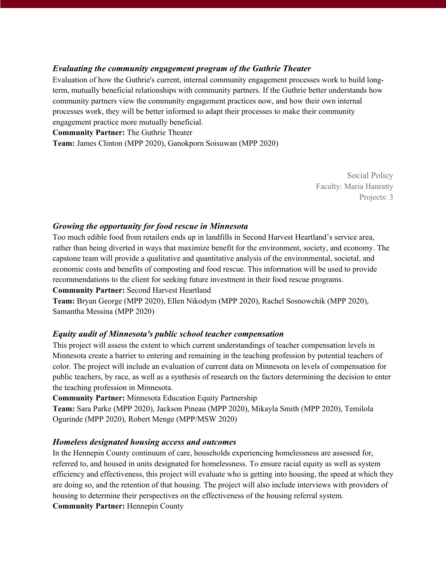# *Evaluating the community engagement program of the Guthrie Theater*

Evaluation of how the Guthrie's current, internal community engagement processes work to build longterm, mutually beneficial relationships with community partners. If the Guthrie better understands how community partners view the community engagement practices now, and how their own internal processes work, they will be better informed to adapt their processes to make their community engagement practice more mutually beneficial.

**Community Partner:** The Guthrie Theater

**Team:** James Clinton (MPP 2020), Ganokporn Soisuwan (MPP 2020)

Social Policy Faculty: Maria Hanratty Projects: 3

# *Growing the opportunity for food rescue in Minnesota*

Too much edible food from retailers ends up in landfills in Second Harvest Heartland's service area, rather than being diverted in ways that maximize benefit for the environment, society, and economy. The capstone team will provide a qualitative and quantitative analysis of the environmental, societal, and economic costs and benefits of composting and food rescue. This information will be used to provide recommendations to the client for seeking future investment in their food rescue programs. **Community Partner:** Second Harvest Heartland

**Team:** Bryan George (MPP 2020), Ellen Nikodym (MPP 2020), Rachel Sosnowchik (MPP 2020), Samantha Messina (MPP 2020)

# *Equity audit of Minnesota's public school teacher compensation*

This project will assess the extent to which current understandings of teacher compensation levels in Minnesota create a barrier to entering and remaining in the teaching profession by potential teachers of color. The project will include an evaluation of current data on Minnesota on levels of compensation for public teachers, by race, as well as a synthesis of research on the factors determining the decision to enter the teaching profession in Minnesota.

**Community Partner:** Minnesota Education Equity Partnership

**Team:** Sara Parke (MPP 2020), Jackson Pineau (MPP 2020), Mikayla Smith (MPP 2020), Temilola Ogurinde (MPP 2020), Robert Menge (MPP/MSW 2020)

#### *Homeless designated housing access and outcomes*

In the Hennepin County continuum of care, households experiencing homelessness are assessed for, referred to, and housed in units designated for homelessness. To ensure racial equity as well as system efficiency and effectiveness, this project will evaluate who is getting into housing, the speed at which they are doing so, and the retention of that housing. The project will also include interviews with providers of housing to determine their perspectives on the effectiveness of the housing referral system. **Community Partner:** Hennepin County